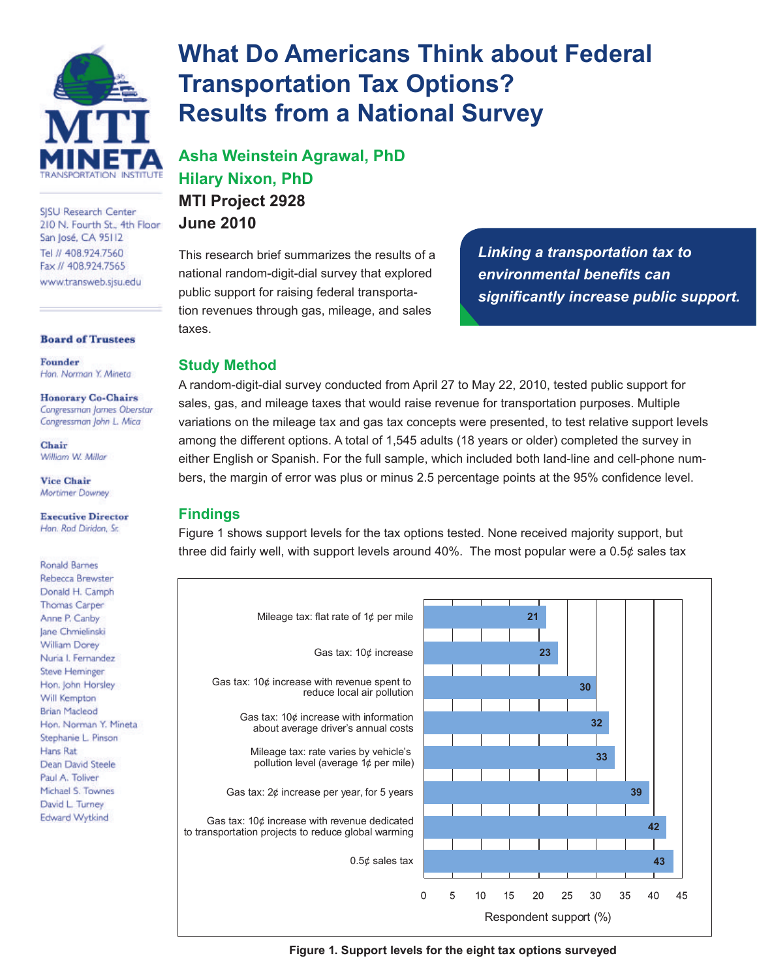

SISU Research Center 210 N. Fourth St., 4th Floor San José, CA 95112 Tel // 408.924.7560 Fax // 408.924.7565 www.transweb.sisu.edu

**Board of Trustees** 

Founder Hon. Norman Y. Mineta

**Honorary Co-Chairs** Congressman James Oberstar Congressman John L. Mica

Chair William W. Millar

**Vice Chair** Mortimer Downey

**Executive Director** Han. Rod Diridon, Sr.

**Ronald Barnes** Rebecca Brewster Donald H. Camph Thomas Carper Anne P. Canby Jane Chmielinski William Dorey Nuria I. Fernandez **Steve Heminger** Hon. John Horsley Will Kempton **Brian Macleod** Hon. Norman Y. Mineta Stephanie L. Pinson Hans Rat Dean David Steele Paul A. Toliver Michael S. Townes David L. Turney Edward Wytkind

# **What Do Americans Think about Federal Transportation Tax Options? Results from a National Survey**

**Asha Weinstein Agrawal, PhD Hilary Nixon, PhD MTI Project 2928 June 2010**

This research brief summarizes the results of a national random-digit-dial survey that explored public support for raising federal transportation revenues through gas, mileage, and sales taxes.

*Linking a transportation tax to environmental benefits can significantly increase public support.*

## **Study Method**

A random-digit-dial survey conducted from April 27 to May 22, 2010, tested public support for sales, gas, and mileage taxes that would raise revenue for transportation purposes. Multiple variations on the mileage tax and gas tax concepts were presented, to test relative support levels among the different options. A total of 1,545 adults (18 years or older) completed the survey in either English or Spanish. For the full sample, which included both land-line and cell-phone numbers, the margin of error was plus or minus 2.5 percentage points at the 95% confidence level.

## **Findings**

Figure 1 shows support levels for the tax options tested. None received majority support, but three did fairly well, with support levels around 40%. The most popular were a  $0.5¢$  sales tax



**Figure 1. Support levels for the eight tax options surveyed**